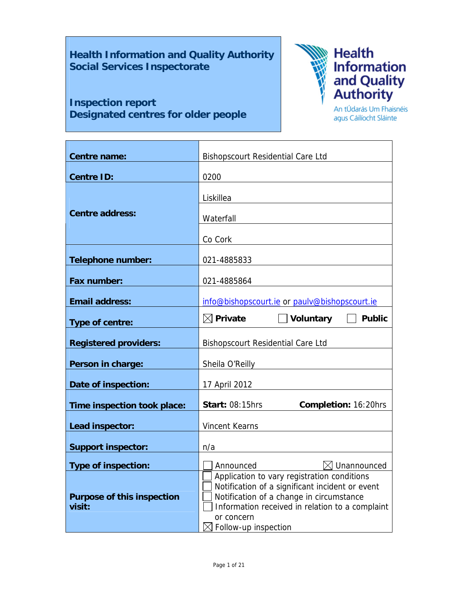# **Health Information and Quality Authority Social Services Inspectorate**

# **Inspection report Designated centres for older people**



An tÚdarás Um Fhaisnéis agus Cáilíocht Sláinte

| Centre name:                                | <b>Bishopscourt Residential Care Ltd</b>                                                                                                                                                                                                        |  |  |
|---------------------------------------------|-------------------------------------------------------------------------------------------------------------------------------------------------------------------------------------------------------------------------------------------------|--|--|
| <b>Centre ID:</b>                           | 0200                                                                                                                                                                                                                                            |  |  |
| <b>Centre address:</b>                      | Liskillea<br>Waterfall                                                                                                                                                                                                                          |  |  |
|                                             | Co Cork                                                                                                                                                                                                                                         |  |  |
| <b>Telephone number:</b>                    | 021-4885833                                                                                                                                                                                                                                     |  |  |
| Fax number:                                 | 021-4885864                                                                                                                                                                                                                                     |  |  |
| <b>Email address:</b>                       | info@bishopscourt.ie or paulv@bishopscourt.ie                                                                                                                                                                                                   |  |  |
| Type of centre:                             | $\boxtimes$ Private<br>Voluntary<br><b>Public</b>                                                                                                                                                                                               |  |  |
| <b>Registered providers:</b>                | <b>Bishopscourt Residential Care Ltd</b>                                                                                                                                                                                                        |  |  |
| Person in charge:                           | Sheila O'Reilly                                                                                                                                                                                                                                 |  |  |
| Date of inspection:                         | 17 April 2012                                                                                                                                                                                                                                   |  |  |
| Time inspection took place:                 | <b>Start: 08:15hrs</b><br>Completion: 16:20hrs                                                                                                                                                                                                  |  |  |
| Lead inspector:                             | <b>Vincent Kearns</b>                                                                                                                                                                                                                           |  |  |
| <b>Support inspector:</b>                   | n/a                                                                                                                                                                                                                                             |  |  |
| <b>Type of inspection:</b>                  | $\boxtimes$ Unannounced<br>Announced                                                                                                                                                                                                            |  |  |
| <b>Purpose of this inspection</b><br>visit: | Application to vary registration conditions<br>Notification of a significant incident or event<br>Notification of a change in circumstance<br>Information received in relation to a complaint<br>or concern<br>$\boxtimes$ Follow-up inspection |  |  |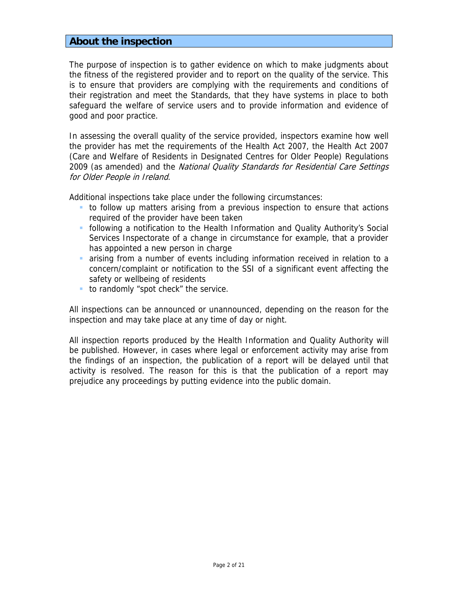# **About the inspection**

The purpose of inspection is to gather evidence on which to make judgments about the fitness of the registered provider and to report on the quality of the service. This is to ensure that providers are complying with the requirements and conditions of their registration and meet the Standards, that they have systems in place to both safeguard the welfare of service users and to provide information and evidence of good and poor practice.

In assessing the overall quality of the service provided, inspectors examine how well the provider has met the requirements of the Health Act 2007, the Health Act 2007 (Care and Welfare of Residents in Designated Centres for Older People) Regulations 2009 (as amended) and the *National Quality Standards for Residential Care Settings* for Older People in Ireland.

Additional inspections take place under the following circumstances:

- to follow up matters arising from a previous inspection to ensure that actions required of the provider have been taken
- following a notification to the Health Information and Quality Authority's Social Services Inspectorate of a change in circumstance for example, that a provider has appointed a new person in charge
- arising from a number of events including information received in relation to a concern/complaint or notification to the SSI of a significant event affecting the safety or wellbeing of residents
- to randomly "spot check" the service.

All inspections can be announced or unannounced, depending on the reason for the inspection and may take place at any time of day or night.

All inspection reports produced by the Health Information and Quality Authority will be published. However, in cases where legal or enforcement activity may arise from the findings of an inspection, the publication of a report will be delayed until that activity is resolved. The reason for this is that the publication of a report may prejudice any proceedings by putting evidence into the public domain.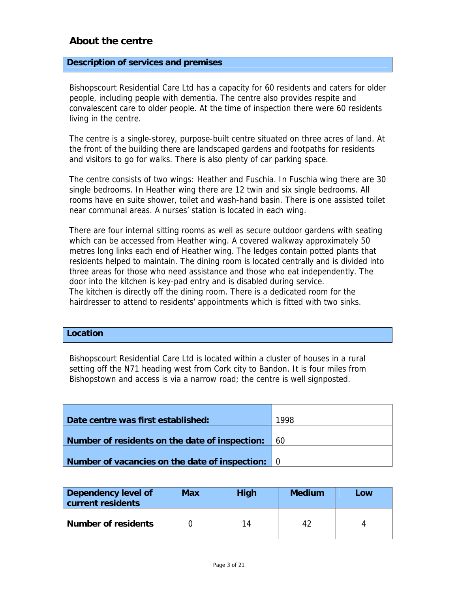# **About the centre**

### **Description of services and premises**

Bishopscourt Residential Care Ltd has a capacity for 60 residents and caters for older people, including people with dementia. The centre also provides respite and convalescent care to older people. At the time of inspection there were 60 residents living in the centre.

The centre is a single-storey, purpose-built centre situated on three acres of land. At the front of the building there are landscaped gardens and footpaths for residents and visitors to go for walks. There is also plenty of car parking space.

The centre consists of two wings: Heather and Fuschia. In Fuschia wing there are 30 single bedrooms. In Heather wing there are 12 twin and six single bedrooms. All rooms have en suite shower, toilet and wash-hand basin. There is one assisted toilet near communal areas. A nurses' station is located in each wing.

There are four internal sitting rooms as well as secure outdoor gardens with seating which can be accessed from Heather wing. A covered walkway approximately 50 metres long links each end of Heather wing. The ledges contain potted plants that residents helped to maintain. The dining room is located centrally and is divided into three areas for those who need assistance and those who eat independently. The door into the kitchen is key-pad entry and is disabled during service. The kitchen is directly off the dining room. There is a dedicated room for the hairdresser to attend to residents' appointments which is fitted with two sinks.

#### **Location**

Bishopscourt Residential Care Ltd is located within a cluster of houses in a rural setting off the N71 heading west from Cork city to Bandon. It is four miles from Bishopstown and access is via a narrow road; the centre is well signposted.

| Date centre was first established:               | 1998       |
|--------------------------------------------------|------------|
|                                                  |            |
| Number of residents on the date of inspection:   | <u>160</u> |
|                                                  |            |
| Number of vacancies on the date of inspection: 0 |            |

| Dependency level of<br>current residents | <b>Max</b> | High | <b>Medium</b> | Low |
|------------------------------------------|------------|------|---------------|-----|
| <b>Number of residents</b>               |            | 14   | 42            |     |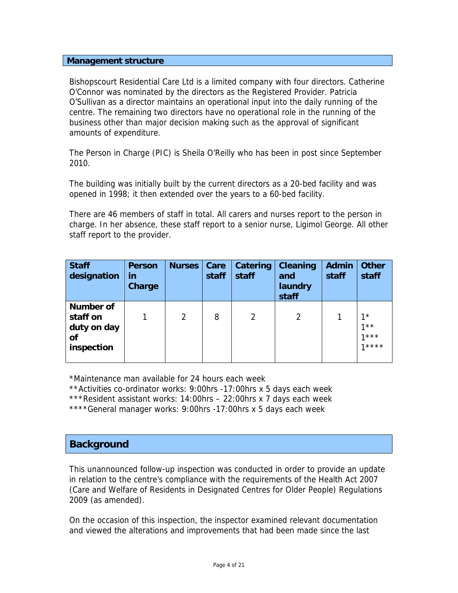### **Management structure**

Bishopscourt Residential Care Ltd is a limited company with four directors. Catherine O'Connor was nominated by the directors as the Registered Provider. Patricia O'Sullivan as a director maintains an operational input into the daily running of the centre. The remaining two directors have no operational role in the running of the business other than major decision making such as the approval of significant amounts of expenditure.

The Person in Charge (PIC) is Sheila O'Reilly who has been in post since September 2010.

The building was initially built by the current directors as a 20-bed facility and was opened in 1998; it then extended over the years to a 60-bed facility.

There are 46 members of staff in total. All carers and nurses report to the person in charge. In her absence, these staff report to a senior nurse, Ligimol George. All other staff report to the provider.

| <b>Staff</b><br>designation                                     | <b>Person</b><br>in<br><b>Charge</b> | <b>Nurses</b> | Care<br>staff | Catering<br>staff | <b>Cleaning</b><br>and<br>laundry<br>staff | <b>Admin</b><br>staff | <b>Other</b><br>staff                |
|-----------------------------------------------------------------|--------------------------------------|---------------|---------------|-------------------|--------------------------------------------|-----------------------|--------------------------------------|
| <b>Number of</b><br>staff on<br>duty on day<br>Οf<br>inspection |                                      | 2             | 8             | 2                 |                                            |                       | $1^*$<br>$1 * *$<br>$1***$<br>$1***$ |

\*Maintenance man available for 24 hours each week

\*\*Activities co-ordinator works: 9:00hrs -17:00hrs x 5 days each week

\*\*\*Resident assistant works: 14:00hrs – 22:00hrs x 7 days each week

\*\*\*\*General manager works: 9:00hrs -17:00hrs x 5 days each week

# **Background**

This unannounced follow-up inspection was conducted in order to provide an update in relation to the centre's compliance with the requirements of the Health Act 2007 (Care and Welfare of Residents in Designated Centres for Older People) Regulations 2009 (as amended).

On the occasion of this inspection, the inspector examined relevant documentation and viewed the alterations and improvements that had been made since the last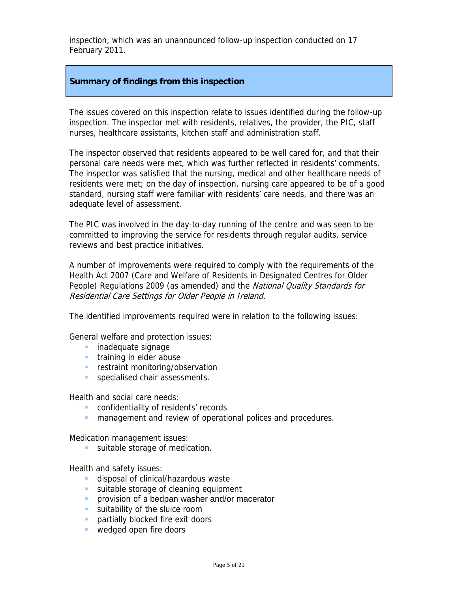inspection, which was an unannounced follow-up inspection conducted on 17 February 2011.

#### **Summary of findings from this inspection**

The issues covered on this inspection relate to issues identified during the follow-up inspection. The inspector met with residents, relatives, the provider, the PIC, staff nurses, healthcare assistants, kitchen staff and administration staff.

The inspector observed that residents appeared to be well cared for, and that their personal care needs were met, which was further reflected in residents' comments. The inspector was satisfied that the nursing, medical and other healthcare needs of residents were met; on the day of inspection, nursing care appeared to be of a good standard, nursing staff were familiar with residents' care needs, and there was an adequate level of assessment.

The PIC was involved in the day-to-day running of the centre and was seen to be committed to improving the service for residents through regular audits, service reviews and best practice initiatives.

A number of improvements were required to comply with the requirements of the Health Act 2007 (Care and Welfare of Residents in Designated Centres for Older People) Regulations 2009 (as amended) and the National Quality Standards for Residential Care Settings for Older People in Ireland.

The identified improvements required were in relation to the following issues:

General welfare and protection issues:

- **inadequate signage**
- **training in elder abuse**
- **F** restraint monitoring/observation
- **specialised chair assessments.**

Health and social care needs:

- **CONFIDENTIALITY OF residents' records**
- **n** management and review of operational polices and procedures.

Medication management issues:

suitable storage of medication.

Health and safety issues:

- **disposal of clinical/hazardous waste**
- suitable storage of cleaning equipment
- **PEDEDIA** provision of a bedpan washer and/or macerator
- **suitability of the sluice room**
- **partially blocked fire exit doors**
- wedged open fire doors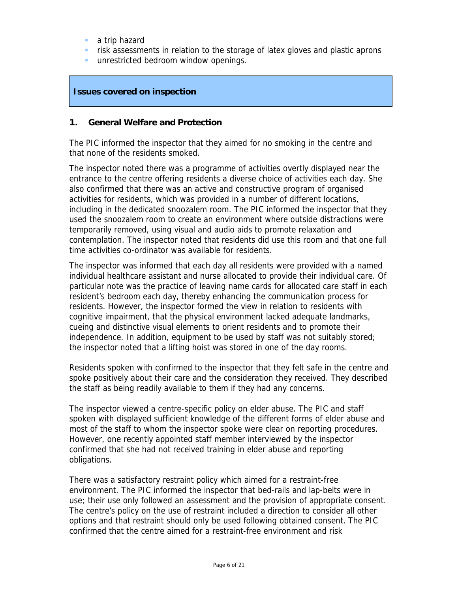- a trip hazard
- **F** risk assessments in relation to the storage of latex gloves and plastic aprons
- **unrestricted bedroom window openings.**

## **Issues covered on inspection**

#### **1. General Welfare and Protection**

The PIC informed the inspector that they aimed for no smoking in the centre and that none of the residents smoked.

The inspector noted there was a programme of activities overtly displayed near the entrance to the centre offering residents a diverse choice of activities each day. She also confirmed that there was an active and constructive program of organised activities for residents, which was provided in a number of different locations, including in the dedicated snoozalem room. The PIC informed the inspector that they used the snoozalem room to create an environment where outside distractions were temporarily removed, using visual and audio aids to promote relaxation and contemplation. The inspector noted that residents did use this room and that one full time activities co-ordinator was available for residents.

The inspector was informed that each day all residents were provided with a named individual healthcare assistant and nurse allocated to provide their individual care. Of particular note was the practice of leaving name cards for allocated care staff in each resident's bedroom each day, thereby enhancing the communication process for residents. However, the inspector formed the view in relation to residents with cognitive impairment, that the physical environment lacked adequate landmarks, cueing and distinctive visual elements to orient residents and to promote their independence. In addition, equipment to be used by staff was not suitably stored; the inspector noted that a lifting hoist was stored in one of the day rooms.

Residents spoken with confirmed to the inspector that they felt safe in the centre and spoke positively about their care and the consideration they received. They described the staff as being readily available to them if they had any concerns.

The inspector viewed a centre-specific policy on elder abuse. The PIC and staff spoken with displayed sufficient knowledge of the different forms of elder abuse and most of the staff to whom the inspector spoke were clear on reporting procedures. However, one recently appointed staff member interviewed by the inspector confirmed that she had not received training in elder abuse and reporting obligations.

There was a satisfactory restraint policy which aimed for a restraint-free environment. The PIC informed the inspector that bed-rails and lap-belts were in use; their use only followed an assessment and the provision of appropriate consent. The centre's policy on the use of restraint included a direction to consider all other options and that restraint should only be used following obtained consent. The PIC confirmed that the centre aimed for a restraint-free environment and risk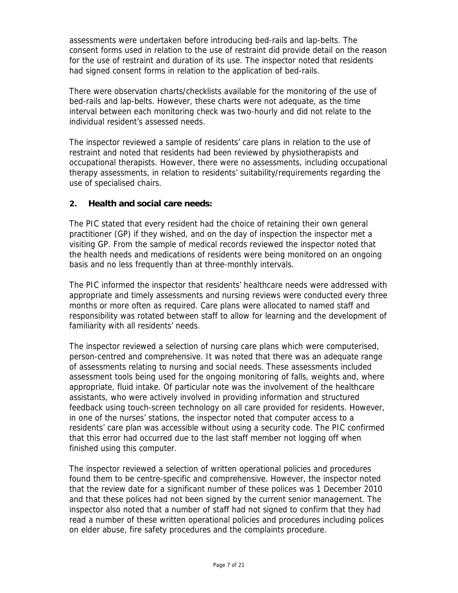assessments were undertaken before introducing bed-rails and lap-belts. The consent forms used in relation to the use of restraint did provide detail on the reason for the use of restraint and duration of its use. The inspector noted that residents had signed consent forms in relation to the application of bed-rails.

There were observation charts/checklists available for the monitoring of the use of bed-rails and lap-belts. However, these charts were not adequate, as the time interval between each monitoring check was two-hourly and did not relate to the individual resident's assessed needs.

The inspector reviewed a sample of residents' care plans in relation to the use of restraint and noted that residents had been reviewed by physiotherapists and occupational therapists. However, there were no assessments, including occupational therapy assessments, in relation to residents' suitability/requirements regarding the use of specialised chairs.

# **2. Health and social care needs:**

The PIC stated that every resident had the choice of retaining their own general practitioner (GP) if they wished, and on the day of inspection the inspector met a visiting GP. From the sample of medical records reviewed the inspector noted that the health needs and medications of residents were being monitored on an ongoing basis and no less frequently than at three-monthly intervals.

The PIC informed the inspector that residents' healthcare needs were addressed with appropriate and timely assessments and nursing reviews were conducted every three months or more often as required. Care plans were allocated to named staff and responsibility was rotated between staff to allow for learning and the development of familiarity with all residents' needs.

The inspector reviewed a selection of nursing care plans which were computerised, person-centred and comprehensive. It was noted that there was an adequate range of assessments relating to nursing and social needs. These assessments included assessment tools being used for the ongoing monitoring of falls, weights and, where appropriate, fluid intake. Of particular note was the involvement of the healthcare assistants, who were actively involved in providing information and structured feedback using touch-screen technology on all care provided for residents. However, in one of the nurses' stations, the inspector noted that computer access to a residents' care plan was accessible without using a security code. The PIC confirmed that this error had occurred due to the last staff member not logging off when finished using this computer.

The inspector reviewed a selection of written operational policies and procedures found them to be centre-specific and comprehensive. However, the inspector noted that the review date for a significant number of these polices was 1 December 2010 and that these polices had not been signed by the current senior management. The inspector also noted that a number of staff had not signed to confirm that they had read a number of these written operational policies and procedures including polices on elder abuse, fire safety procedures and the complaints procedure.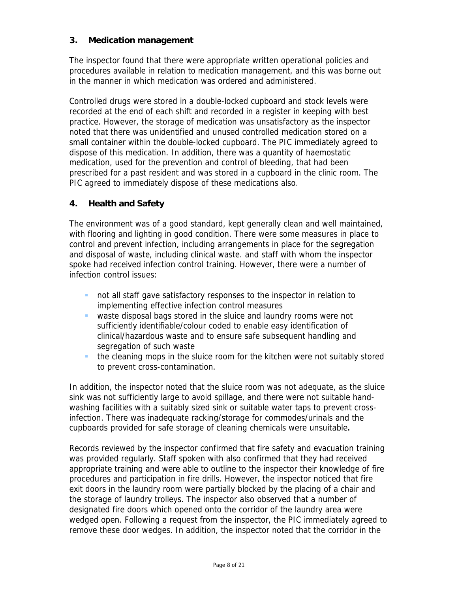# **3. Medication management**

The inspector found that there were appropriate written operational policies and procedures available in relation to medication management, and this was borne out in the manner in which medication was ordered and administered.

Controlled drugs were stored in a double-locked cupboard and stock levels were recorded at the end of each shift and recorded in a register in keeping with best practice. However, the storage of medication was unsatisfactory as the inspector noted that there was unidentified and unused controlled medication stored on a small container within the double-locked cupboard. The PIC immediately agreed to dispose of this medication. In addition, there was a quantity of haemostatic medication, used for the prevention and control of bleeding, that had been prescribed for a past resident and was stored in a cupboard in the clinic room. The PIC agreed to immediately dispose of these medications also.

# **4. Health and Safety**

The environment was of a good standard, kept generally clean and well maintained, with flooring and lighting in good condition. There were some measures in place to control and prevent infection, including arrangements in place for the segregation and disposal of waste, including clinical waste. and staff with whom the inspector spoke had received infection control training. However, there were a number of infection control issues:

- not all staff gave satisfactory responses to the inspector in relation to implementing effective infection control measures
- waste disposal bags stored in the sluice and laundry rooms were not sufficiently identifiable/colour coded to enable easy identification of clinical/hazardous waste and to ensure safe subsequent handling and segregation of such waste
- the cleaning mops in the sluice room for the kitchen were not suitably stored to prevent cross-contamination.

In addition, the inspector noted that the sluice room was not adequate, as the sluice sink was not sufficiently large to avoid spillage, and there were not suitable handwashing facilities with a suitably sized sink or suitable water taps to prevent crossinfection. There was inadequate racking/storage for commodes/urinals and the cupboards provided for safe storage of cleaning chemicals were unsuitable**.** 

Records reviewed by the inspector confirmed that fire safety and evacuation training was provided regularly. Staff spoken with also confirmed that they had received appropriate training and were able to outline to the inspector their knowledge of fire procedures and participation in fire drills. However, the inspector noticed that fire exit doors in the laundry room were partially blocked by the placing of a chair and the storage of laundry trolleys. The inspector also observed that a number of designated fire doors which opened onto the corridor of the laundry area were wedged open. Following a request from the inspector, the PIC immediately agreed to remove these door wedges. In addition, the inspector noted that the corridor in the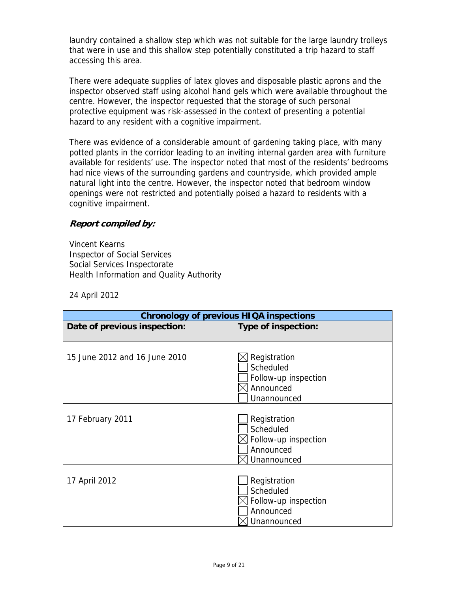laundry contained a shallow step which was not suitable for the large laundry trolleys that were in use and this shallow step potentially constituted a trip hazard to staff accessing this area.

There were adequate supplies of latex gloves and disposable plastic aprons and the inspector observed staff using alcohol hand gels which were available throughout the centre. However, the inspector requested that the storage of such personal protective equipment was risk-assessed in the context of presenting a potential hazard to any resident with a cognitive impairment.

There was evidence of a considerable amount of gardening taking place, with many potted plants in the corridor leading to an inviting internal garden area with furniture available for residents' use. The inspector noted that most of the residents' bedrooms had nice views of the surrounding gardens and countryside, which provided ample natural light into the centre. However, the inspector noted that bedroom window openings were not restricted and potentially poised a hazard to residents with a cognitive impairment.

# **Report compiled by:**

Vincent Kearns Inspector of Social Services Social Services Inspectorate Health Information and Quality Authority

24 April 2012

| <b>Chronology of previous HIQA inspections</b> |                                                                               |  |  |
|------------------------------------------------|-------------------------------------------------------------------------------|--|--|
| Date of previous inspection:                   | Type of inspection:                                                           |  |  |
|                                                |                                                                               |  |  |
| 15 June 2012 and 16 June 2010                  | Registration<br>Scheduled<br>Follow-up inspection<br>Announced<br>Unannounced |  |  |
| 17 February 2011                               | Registration<br>Scheduled<br>Follow-up inspection<br>Announced<br>Unannounced |  |  |
| 17 April 2012                                  | Registration<br>Scheduled<br>Follow-up inspection<br>Announced<br>Unannounced |  |  |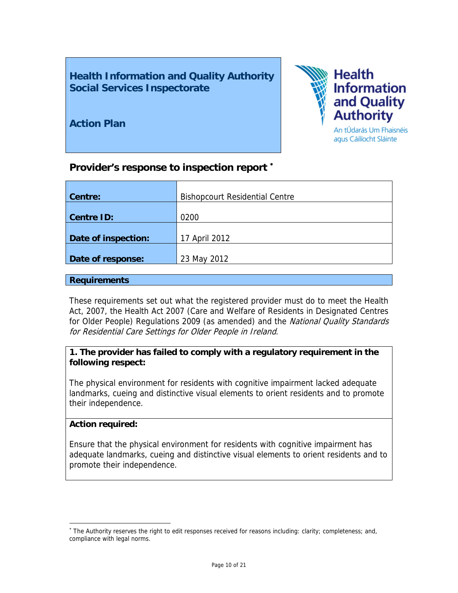**Health Information and Quality Authority Social Services Inspectorate** 

**Action Plan** 



# **Provider's response to inspection report** <sup>∗</sup>

| Centre:             | <b>Bishopcourt Residential Centre</b> |
|---------------------|---------------------------------------|
| <b>Centre ID:</b>   | 0200                                  |
| Date of inspection: | 17 April 2012                         |
| Date of response:   | 23 May 2012                           |

#### **Requirements**

These requirements set out what the registered provider must do to meet the Health Act, 2007, the Health Act 2007 (Care and Welfare of Residents in Designated Centres for Older People) Regulations 2009 (as amended) and the National Quality Standards for Residential Care Settings for Older People in Ireland.

# **1. The provider has failed to comply with a regulatory requirement in the following respect:**

The physical environment for residents with cognitive impairment lacked adequate landmarks, cueing and distinctive visual elements to orient residents and to promote their independence.

## **Action required:**

 $\overline{a}$ 

Ensure that the physical environment for residents with cognitive impairment has adequate landmarks, cueing and distinctive visual elements to orient residents and to promote their independence.

<sup>∗</sup> The Authority reserves the right to edit responses received for reasons including: clarity; completeness; and, compliance with legal norms.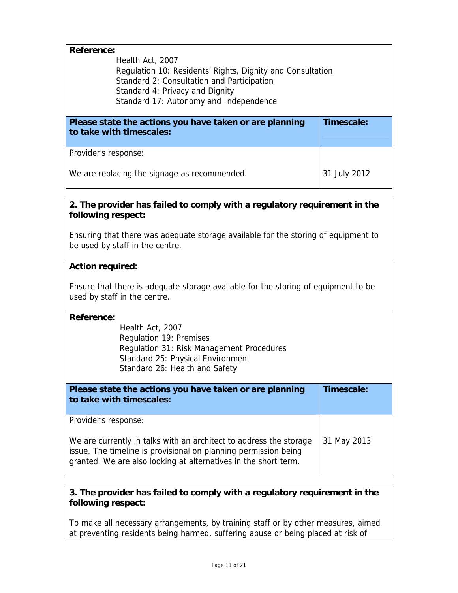| <b>Reference:</b>                                          |              |  |  |
|------------------------------------------------------------|--------------|--|--|
| Health Act, 2007                                           |              |  |  |
| Regulation 10: Residents' Rights, Dignity and Consultation |              |  |  |
| Standard 2: Consultation and Participation                 |              |  |  |
| Standard 4: Privacy and Dignity                            |              |  |  |
| Standard 17: Autonomy and Independence                     |              |  |  |
|                                                            |              |  |  |
|                                                            |              |  |  |
| Please state the actions you have taken or are planning    | Timescale:   |  |  |
| to take with timescales:                                   |              |  |  |
|                                                            |              |  |  |
| Provider's response:                                       |              |  |  |
|                                                            |              |  |  |
| We are replacing the signage as recommended.               | 31 July 2012 |  |  |

Ensuring that there was adequate storage available for the storing of equipment to be used by staff in the centre.

## **Action required:**

Ensure that there is adequate storage available for the storing of equipment to be used by staff in the centre.

#### **Reference:**

Health Act, 2007 Regulation 19: Premises Regulation 31: Risk Management Procedures Standard 25: Physical Environment Standard 26: Health and Safety

| Please state the actions you have taken or are planning<br>to take with timescales:                                                                                                                                              | Timescale:  |
|----------------------------------------------------------------------------------------------------------------------------------------------------------------------------------------------------------------------------------|-------------|
| Provider's response:<br>We are currently in talks with an architect to address the storage<br>issue. The timeline is provisional on planning permission being<br>granted. We are also looking at alternatives in the short term. | 31 May 2013 |

## **3. The provider has failed to comply with a regulatory requirement in the following respect:**

To make all necessary arrangements, by training staff or by other measures, aimed at preventing residents being harmed, suffering abuse or being placed at risk of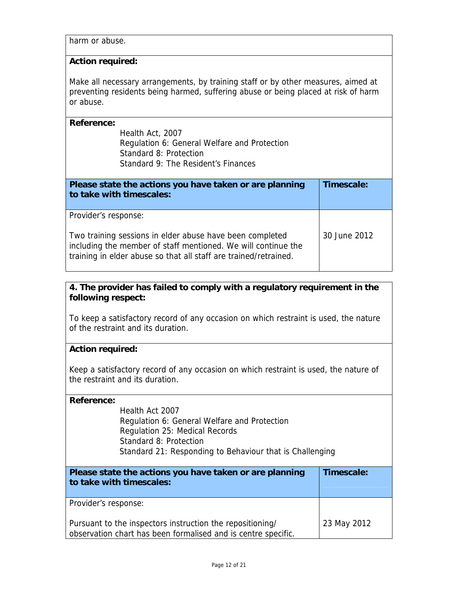harm or abuse.

### **Action required:**

Make all necessary arrangements, by training staff or by other measures, aimed at preventing residents being harmed, suffering abuse or being placed at risk of harm or abuse.

| Health Act, 2007                             |
|----------------------------------------------|
| Regulation 6: General Welfare and Protection |
| Standard 8: Protection                       |
| Standard 9: The Resident's Finances          |

| Please state the actions you have taken or are planning<br>to take with timescales:                                                                                                                                   | Timescale:   |
|-----------------------------------------------------------------------------------------------------------------------------------------------------------------------------------------------------------------------|--------------|
| Provider's response:<br>Two training sessions in elder abuse have been completed<br>including the member of staff mentioned. We will continue the<br>training in elder abuse so that all staff are trained/retrained. | 30 June 2012 |

# **4. The provider has failed to comply with a regulatory requirement in the following respect:**

To keep a satisfactory record of any occasion on which restraint is used, the nature of the restraint and its duration.

## **Action required:**

Keep a satisfactory record of any occasion on which restraint is used, the nature of the restraint and its duration.

## **Reference:**

Health Act 2007 Regulation 6: General Welfare and Protection Regulation 25: Medical Records Standard 8: Protection Standard 21: Responding to Behaviour that is Challenging

| Please state the actions you have taken or are planning<br>to take with timescales:                                        | Timescale:  |
|----------------------------------------------------------------------------------------------------------------------------|-------------|
| Provider's response:                                                                                                       |             |
| Pursuant to the inspectors instruction the repositioning/<br>observation chart has been formalised and is centre specific. | 23 May 2012 |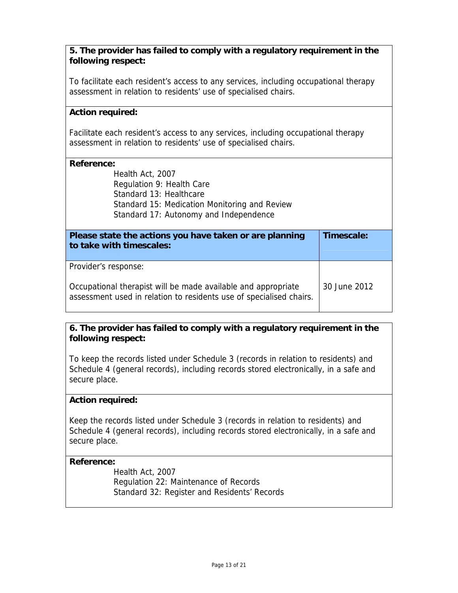To facilitate each resident's access to any services, including occupational therapy assessment in relation to residents' use of specialised chairs.

### **Action required:**

Facilitate each resident's access to any services, including occupational therapy assessment in relation to residents' use of specialised chairs.

#### **Reference:**

Health Act, 2007 Regulation 9: Health Care Standard 13: Healthcare Standard 15: Medication Monitoring and Review Standard 17: Autonomy and Independence

| Please state the actions you have taken or are planning<br>to take with timescales:                                                  | Timescale:   |
|--------------------------------------------------------------------------------------------------------------------------------------|--------------|
| Provider's response:                                                                                                                 |              |
| Occupational therapist will be made available and appropriate<br>assessment used in relation to residents use of specialised chairs. | 30 June 2012 |

# **6. The provider has failed to comply with a regulatory requirement in the following respect:**

To keep the records listed under Schedule 3 (records in relation to residents) and Schedule 4 (general records), including records stored electronically, in a safe and secure place.

#### **Action required:**

Keep the records listed under Schedule 3 (records in relation to residents) and Schedule 4 (general records), including records stored electronically, in a safe and secure place.

#### **Reference:**

Health Act, 2007 Regulation 22: Maintenance of Records Standard 32: Register and Residents' Records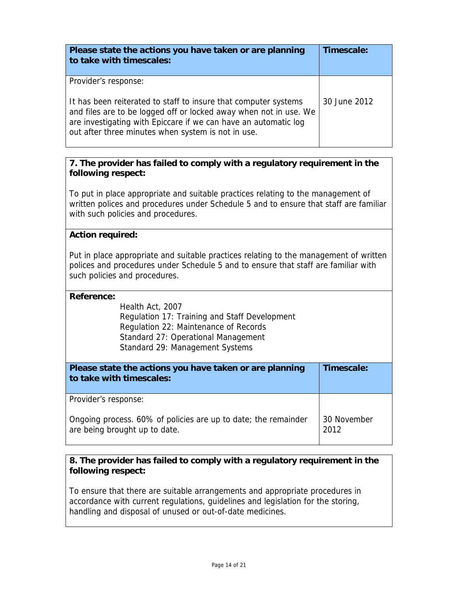| Please state the actions you have taken or are planning<br>to take with timescales:                                                                                                                                                                                                   | Timescale:   |
|---------------------------------------------------------------------------------------------------------------------------------------------------------------------------------------------------------------------------------------------------------------------------------------|--------------|
| Provider's response:<br>It has been reiterated to staff to insure that computer systems<br>and files are to be logged off or locked away when not in use. We<br>are investigating with Epiccare if we can have an automatic log<br>out after three minutes when system is not in use. | 30 June 2012 |

To put in place appropriate and suitable practices relating to the management of written polices and procedures under Schedule 5 and to ensure that staff are familiar with such policies and procedures.

# **Action required:**

Put in place appropriate and suitable practices relating to the management of written polices and procedures under Schedule 5 and to ensure that staff are familiar with such policies and procedures.

### **Reference:**

Health Act, 2007 Regulation 17: Training and Staff Development Regulation 22: Maintenance of Records Standard 27: Operational Management Standard 29: Management Systems

| Please state the actions you have taken or are planning<br>to take with timescales:             | Timescale:          |
|-------------------------------------------------------------------------------------------------|---------------------|
| Provider's response:                                                                            |                     |
| Ongoing process. 60% of policies are up to date; the remainder<br>are being brought up to date. | 30 November<br>2012 |

# **8. The provider has failed to comply with a regulatory requirement in the following respect:**

To ensure that there are suitable arrangements and appropriate procedures in accordance with current regulations, guidelines and legislation for the storing, handling and disposal of unused or out-of-date medicines.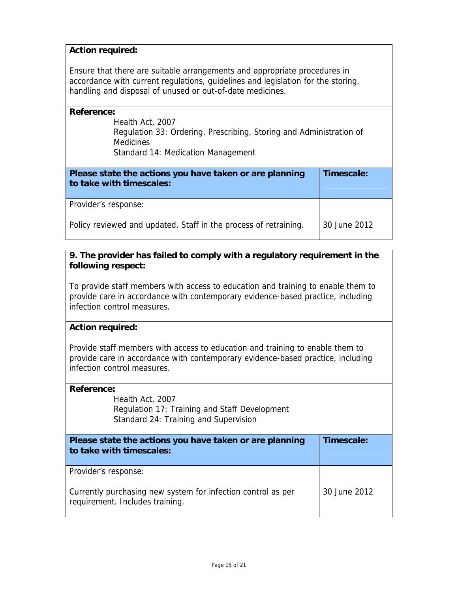# **Action required:**

Ensure that there are suitable arrangements and appropriate procedures in accordance with current regulations, guidelines and legislation for the storing, handling and disposal of unused or out-of-date medicines.

#### **Reference:**

Health Act, 2007 Regulation 33: Ordering, Prescribing, Storing and Administration of **Medicines** Standard 14: Medication Management

| Please state the actions you have taken or are planning<br>to take with timescales: | Timescale:   |
|-------------------------------------------------------------------------------------|--------------|
| Provider's response:                                                                |              |
| Policy reviewed and updated. Staff in the process of retraining.                    | 30 June 2012 |

# **9. The provider has failed to comply with a regulatory requirement in the following respect:**

To provide staff members with access to education and training to enable them to provide care in accordance with contemporary evidence-based practice, including infection control measures.

## **Action required:**

Provide staff members with access to education and training to enable them to provide care in accordance with contemporary evidence-based practice, including infection control measures.

#### **Reference:**

Health Act, 2007 Regulation 17: Training and Staff Development Standard 24: Training and Supervision

| Please state the actions you have taken or are planning<br>to take with timescales:             | Timescale:   |
|-------------------------------------------------------------------------------------------------|--------------|
| Provider's response:                                                                            |              |
| Currently purchasing new system for infection control as per<br>requirement. Includes training. | 30 June 2012 |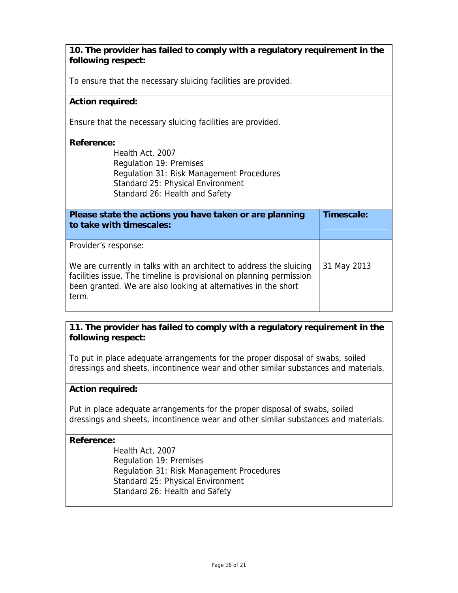To ensure that the necessary sluicing facilities are provided.

## **Action required:**

Ensure that the necessary sluicing facilities are provided.

#### **Reference:**

Health Act, 2007 Regulation 19: Premises Regulation 31: Risk Management Procedures Standard 25: Physical Environment Standard 26: Health and Safety

| Please state the actions you have taken or are planning<br>to take with timescales:                                                                                                                                                            | Timescale:  |
|------------------------------------------------------------------------------------------------------------------------------------------------------------------------------------------------------------------------------------------------|-------------|
| Provider's response:<br>We are currently in talks with an architect to address the sluicing<br>facilities issue. The timeline is provisional on planning permission<br>been granted. We are also looking at alternatives in the short<br>term. | 31 May 2013 |

## **11. The provider has failed to comply with a regulatory requirement in the following respect:**

To put in place adequate arrangements for the proper disposal of swabs, soiled dressings and sheets, incontinence wear and other similar substances and materials.

#### **Action required:**

Put in place adequate arrangements for the proper disposal of swabs, soiled dressings and sheets, incontinence wear and other similar substances and materials.

#### **Reference:**

Health Act, 2007 Regulation 19: Premises Regulation 31: Risk Management Procedures Standard 25: Physical Environment Standard 26: Health and Safety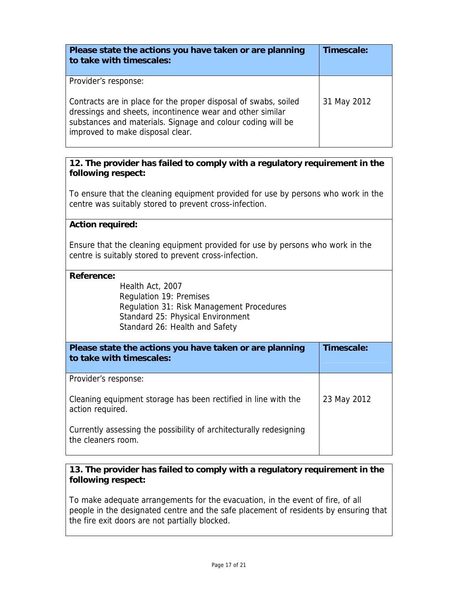| Please state the actions you have taken or are planning<br>to take with timescales:                                                                                                                                                                     | Timescale:  |
|---------------------------------------------------------------------------------------------------------------------------------------------------------------------------------------------------------------------------------------------------------|-------------|
| Provider's response:<br>Contracts are in place for the proper disposal of swabs, soiled<br>dressings and sheets, incontinence wear and other similar<br>substances and materials. Signage and colour coding will be<br>improved to make disposal clear. | 31 May 2012 |

To ensure that the cleaning equipment provided for use by persons who work in the centre was suitably stored to prevent cross-infection.

## **Action required:**

Ensure that the cleaning equipment provided for use by persons who work in the centre is suitably stored to prevent cross-infection.

#### **Reference:**

Health Act, 2007 Regulation 19: Premises Regulation 31: Risk Management Procedures Standard 25: Physical Environment Standard 26: Health and Safety

| Please state the actions you have taken or are planning<br>to take with timescales:      | Timescale:  |
|------------------------------------------------------------------------------------------|-------------|
| Provider's response:                                                                     |             |
| Cleaning equipment storage has been rectified in line with the<br>action required.       | 23 May 2012 |
| Currently assessing the possibility of architecturally redesigning<br>the cleaners room. |             |

# **13. The provider has failed to comply with a regulatory requirement in the following respect:**

To make adequate arrangements for the evacuation, in the event of fire, of all people in the designated centre and the safe placement of residents by ensuring that the fire exit doors are not partially blocked.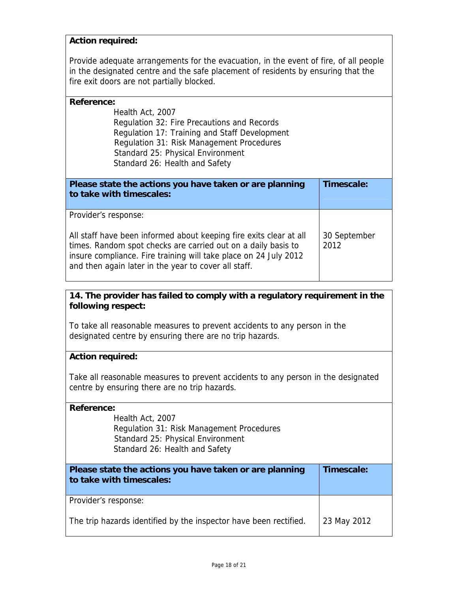### **Action required:**

Provide adequate arrangements for the evacuation, in the event of fire, of all people in the designated centre and the safe placement of residents by ensuring that the fire exit doors are not partially blocked.

| Reference:                                                         |              |
|--------------------------------------------------------------------|--------------|
| Health Act, 2007                                                   |              |
| Regulation 32: Fire Precautions and Records                        |              |
| Regulation 17: Training and Staff Development                      |              |
| Regulation 31: Risk Management Procedures                          |              |
| Standard 25: Physical Environment                                  |              |
| Standard 26: Health and Safety                                     |              |
|                                                                    |              |
|                                                                    |              |
| Please state the actions you have taken or are planning            | Timescale:   |
| to take with timescales:                                           |              |
|                                                                    |              |
| Provider's response:                                               |              |
|                                                                    |              |
| All staff have been informed about keeping fire exits clear at all | 30 September |
| times. Random spot checks are carried out on a daily basis to      | 2012         |
| insure compliance. Fire training will take place on 24 July 2012   |              |
| and then again later in the year to cover all staff.               |              |

# **14. The provider has failed to comply with a regulatory requirement in the following respect:**

To take all reasonable measures to prevent accidents to any person in the designated centre by ensuring there are no trip hazards.

## **Action required:**

Take all reasonable measures to prevent accidents to any person in the designated centre by ensuring there are no trip hazards.

#### **Reference:**

Health Act, 2007 Regulation 31: Risk Management Procedures Standard 25: Physical Environment Standard 26: Health and Safety

| Please state the actions you have taken or are planning<br>to take with timescales: | Timescale:  |
|-------------------------------------------------------------------------------------|-------------|
| Provider's response:                                                                |             |
| The trip hazards identified by the inspector have been rectified.                   | 23 May 2012 |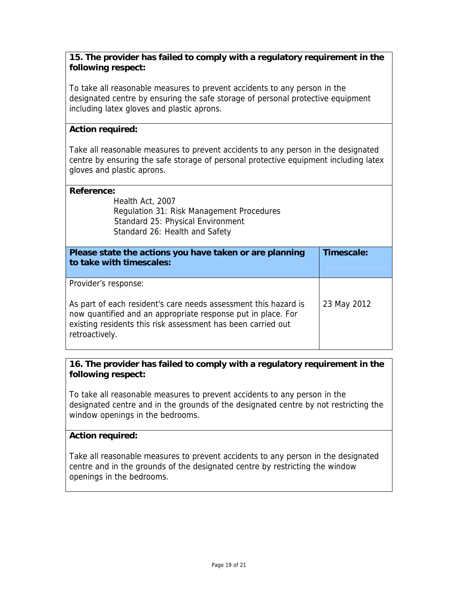To take all reasonable measures to prevent accidents to any person in the designated centre by ensuring the safe storage of personal protective equipment including latex gloves and plastic aprons.

# **Action required:**

Take all reasonable measures to prevent accidents to any person in the designated centre by ensuring the safe storage of personal protective equipment including latex gloves and plastic aprons.

## **Reference:**

Health Act, 2007 Regulation 31: Risk Management Procedures Standard 25: Physical Environment Standard 26: Health and Safety

| Please state the actions you have taken or are planning<br>to take with timescales:                                                                                                                                                       | Timescale:  |
|-------------------------------------------------------------------------------------------------------------------------------------------------------------------------------------------------------------------------------------------|-------------|
| Provider's response:<br>As part of each resident's care needs assessment this hazard is<br>now quantified and an appropriate response put in place. For<br>existing residents this risk assessment has been carried out<br>retroactively. | 23 May 2012 |

# **16. The provider has failed to comply with a regulatory requirement in the following respect:**

To take all reasonable measures to prevent accidents to any person in the designated centre and in the grounds of the designated centre by not restricting the window openings in the bedrooms.

## **Action required:**

Take all reasonable measures to prevent accidents to any person in the designated centre and in the grounds of the designated centre by restricting the window openings in the bedrooms.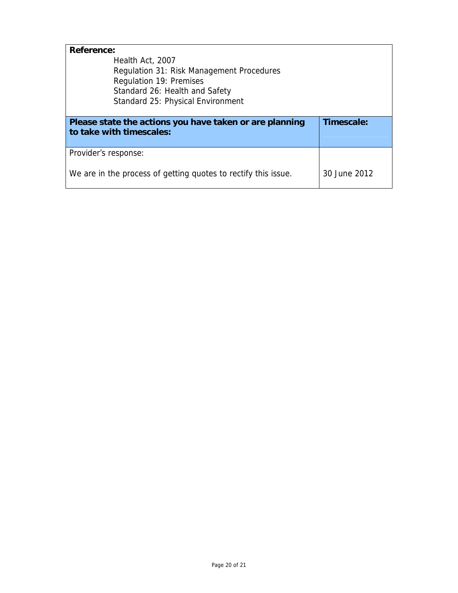| <b>Reference:</b>                                       |            |
|---------------------------------------------------------|------------|
| Health Act, 2007                                        |            |
| Regulation 31: Risk Management Procedures               |            |
| Regulation 19: Premises                                 |            |
| Standard 26: Health and Safety                          |            |
| Standard 25: Physical Environment                       |            |
|                                                         |            |
| Please state the actions you have taken or are planning | Timescale: |
| to take with timescales:                                |            |
|                                                         |            |
|                                                         |            |
| Provider's response:                                    |            |
|                                                         |            |